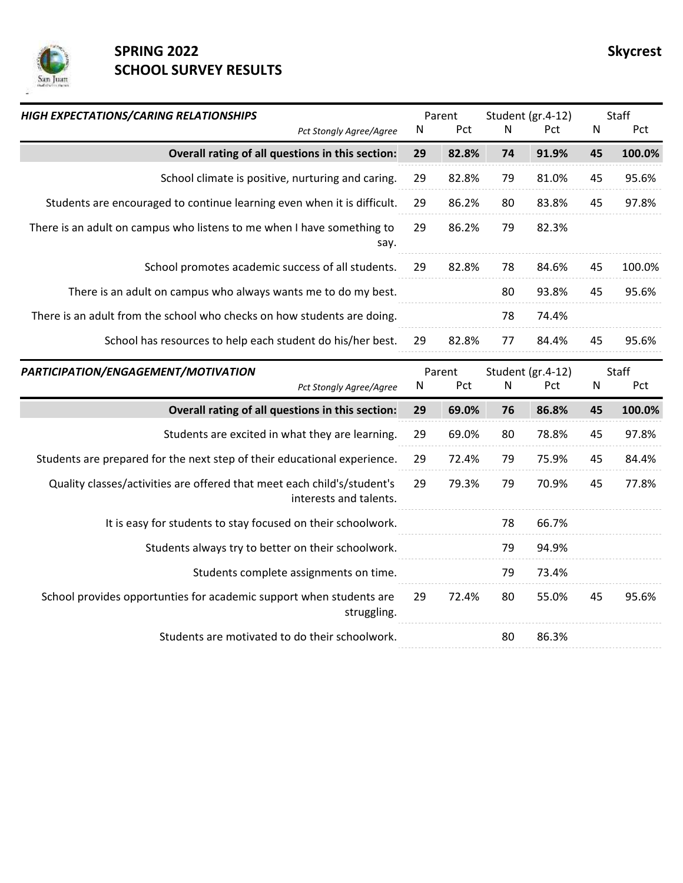

## **SPRING 2022** SPRING 2022 **SCHOOL SURVEY RESULTS**

| HIGH EXPECTATIONS/CARING RELATIONSHIPS<br>Pct Stongly Agree/Agree                                 | N  | Parent<br>Pct | N         | Student (gr.4-12)<br>Pct | N         | Staff<br>Pct |
|---------------------------------------------------------------------------------------------------|----|---------------|-----------|--------------------------|-----------|--------------|
| Overall rating of all questions in this section:                                                  | 29 | 82.8%         | 74        | 91.9%                    | 45        | 100.0%       |
| School climate is positive, nurturing and caring.                                                 | 29 | 82.8%         | 79        | 81.0%                    | 45        | 95.6%        |
| Students are encouraged to continue learning even when it is difficult.                           | 29 | 86.2%         | 80        | 83.8%                    | 45        | 97.8%        |
| There is an adult on campus who listens to me when I have something to<br>say.                    | 29 | 86.2%         | 79        | 82.3%                    |           |              |
| School promotes academic success of all students.                                                 | 29 | 82.8%         | 78        | 84.6%                    | 45        | 100.0%       |
| There is an adult on campus who always wants me to do my best.                                    |    |               | 80        | 93.8%                    | 45        | 95.6%        |
| There is an adult from the school who checks on how students are doing.                           |    |               | 78        | 74.4%                    |           |              |
| School has resources to help each student do his/her best.                                        | 29 | 82.8%         | 77        | 84.4%                    | 45        | 95.6%        |
| PARTICIPATION/ENGAGEMENT/MOTIVATION                                                               |    |               |           |                          |           | Staff        |
| Pct Stongly Agree/Agree                                                                           | N  | Parent<br>Pct | ${\sf N}$ | Student (gr.4-12)<br>Pct | ${\sf N}$ | Pct          |
| Overall rating of all questions in this section:                                                  | 29 | 69.0%         | 76        | 86.8%                    | 45        | 100.0%       |
| Students are excited in what they are learning.                                                   | 29 | 69.0%         | 80        | 78.8%                    | 45        | 97.8%        |
| Students are prepared for the next step of their educational experience.                          | 29 | 72.4%         | 79        | 75.9%                    | 45        | 84.4%        |
| Quality classes/activities are offered that meet each child's/student's<br>interests and talents. | 29 | 79.3%         | 79        | 70.9%                    | 45        | 77.8%        |
| It is easy for students to stay focused on their schoolwork.                                      |    |               | 78        | 66.7%                    |           |              |
| Students always try to better on their schoolwork.                                                |    |               | 79        | 94.9%                    |           |              |
| Students complete assignments on time.                                                            |    |               | 79        | 73.4%                    |           |              |
| School provides opportunties for academic support when students are<br>struggling.                | 29 | 72.4%         | 80        | 55.0%                    | 45        | 95.6%        |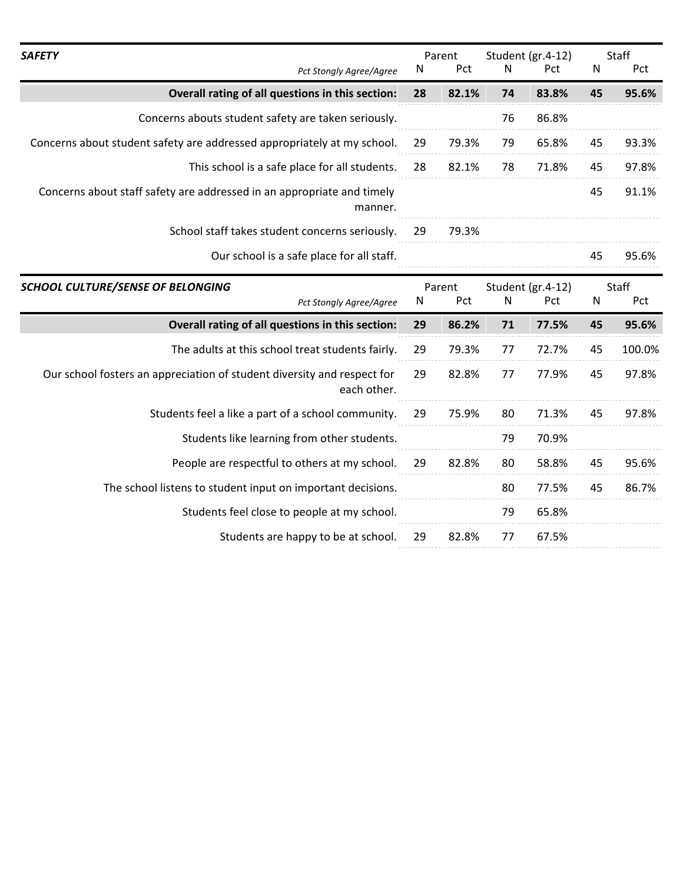| <b>SAFETY</b><br>Pct Stongly Agree/Agree                                               | Parent<br>Pct<br>N |       |                   | Student (gr.4-12)<br>N<br>Pct |              | Staff<br>Pct |
|----------------------------------------------------------------------------------------|--------------------|-------|-------------------|-------------------------------|--------------|--------------|
|                                                                                        |                    |       |                   |                               | N            |              |
| Overall rating of all questions in this section:                                       | 28                 | 82.1% | 74                | 83.8%                         | 45           | 95.6%        |
| Concerns abouts student safety are taken seriously.                                    |                    |       | 76                | 86.8%                         |              |              |
| Concerns about student safety are addressed appropriately at my school.                | 29                 | 79.3% | 79                | 65.8%                         | 45           | 93.3%        |
| This school is a safe place for all students.                                          | 28                 | 82.1% | 78                | 71.8%                         | 45           | 97.8%        |
| Concerns about staff safety are addressed in an appropriate and timely<br>manner.      |                    |       |                   |                               | 45           | 91.1%        |
| School staff takes student concerns seriously.                                         |                    | 79.3% |                   |                               |              |              |
| Our school is a safe place for all staff.                                              |                    |       |                   |                               | 45           | 95.6%        |
| <b>SCHOOL CULTURE/SENSE OF BELONGING</b>                                               | Parent<br>N<br>Pct |       | Student (gr.4-12) |                               | <b>Staff</b> |              |
| Pct Stongly Agree/Agree                                                                |                    |       | N                 | Pct                           | $\mathsf{N}$ | Pct          |
| Overall rating of all questions in this section:                                       | 29                 | 86.2% | 71                | 77.5%                         | 45           | 95.6%        |
| The adults at this school treat students fairly.                                       | 29                 | 79.3% | 77                | 72.7%                         | 45           | 100.0%       |
| Our school fosters an appreciation of student diversity and respect for<br>each other. | 29                 | 82.8% | 77                | 77.9%                         | 45           | 97.8%        |
| Students feel a like a part of a school community.                                     | 29                 | 75.9% | 80                | 71.3%                         | 45           | 97.8%        |
| Students like learning from other students.                                            |                    |       | 79                | 70.9%                         |              |              |
| People are respectful to others at my school.                                          | 29                 | 82.8% | 80                | 58.8%                         | 45           | 95.6%        |
| The school listens to student input on important decisions.                            |                    |       | 80                | 77.5%                         | 45           | 86.7%        |
| Students feel close to people at my school.                                            |                    |       | 79                | 65.8%                         |              |              |
| Students are happy to be at school.                                                    | 29                 | 82.8% | 77                | 67.5%                         |              |              |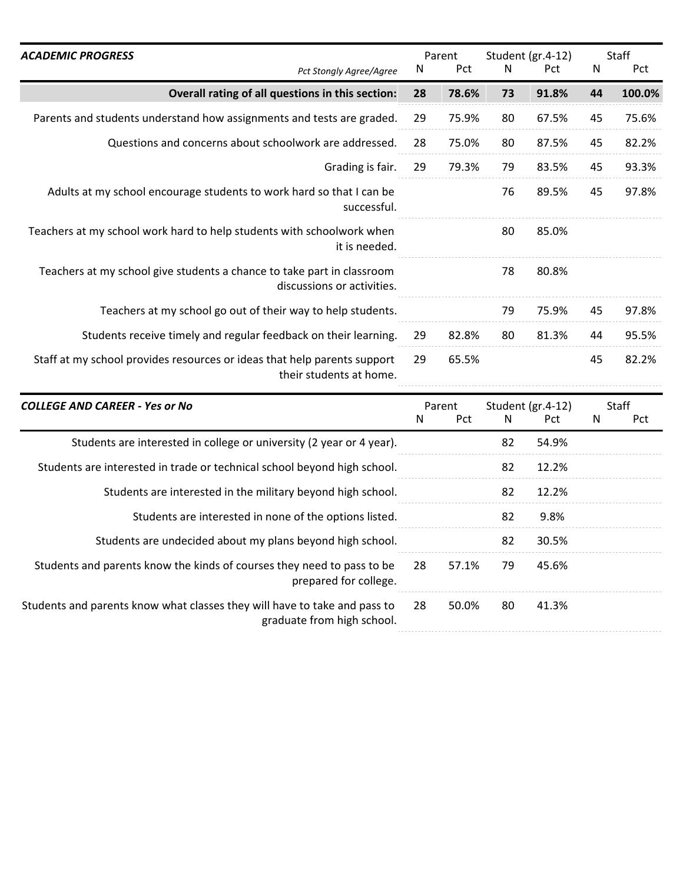| <b>ACADEMIC PROGRESS</b>                                                                             | Parent |       | Student (gr.4-12) |       |    | <b>Staff</b> |  |
|------------------------------------------------------------------------------------------------------|--------|-------|-------------------|-------|----|--------------|--|
| Pct Stongly Agree/Agree                                                                              | N      | Pct   | N                 | Pct   | N  | Pct          |  |
| Overall rating of all questions in this section:                                                     | 28     | 78.6% | 73                | 91.8% | 44 | 100.0%       |  |
| Parents and students understand how assignments and tests are graded.                                | 29     | 75.9% | 80                | 67.5% | 45 | 75.6%        |  |
| Questions and concerns about schoolwork are addressed.<br>Grading is fair.                           |        | 75.0% | 80                | 87.5% | 45 | 82.2%        |  |
|                                                                                                      |        | 79.3% | 79                | 83.5% | 45 | 93.3%        |  |
| Adults at my school encourage students to work hard so that I can be<br>successful.                  |        |       | 76                | 89.5% | 45 | 97.8%        |  |
| Teachers at my school work hard to help students with schoolwork when<br>it is needed.               |        |       | 80                | 85.0% |    |              |  |
| Teachers at my school give students a chance to take part in classroom<br>discussions or activities. |        |       | 78                | 80.8% |    |              |  |
| Teachers at my school go out of their way to help students.                                          |        |       | 79                | 75.9% | 45 | 97.8%        |  |
| Students receive timely and regular feedback on their learning.                                      | 29     | 82.8% | 80                | 81.3% | 44 | 95.5%        |  |
| Staff at my school provides resources or ideas that help parents support<br>their students at home.  | 29     | 65.5% |                   |       | 45 | 82.2%        |  |

| <b>COLLEGE AND CAREER - Yes or No</b>                                                                   | Parent<br>N<br><b>Pct</b> |       |    |       |  |  |  |  |  |  |  |  | N. | Student (gr.4-12)<br>Pct | N | Staff<br><b>Pct</b> |
|---------------------------------------------------------------------------------------------------------|---------------------------|-------|----|-------|--|--|--|--|--|--|--|--|----|--------------------------|---|---------------------|
| Students are interested in college or university (2 year or 4 year).                                    |                           |       | 82 | 54.9% |  |  |  |  |  |  |  |  |    |                          |   |                     |
| Students are interested in trade or technical school beyond high school.                                |                           |       | 82 | 12.2% |  |  |  |  |  |  |  |  |    |                          |   |                     |
| Students are interested in the military beyond high school.                                             |                           |       | 82 | 12.2% |  |  |  |  |  |  |  |  |    |                          |   |                     |
| Students are interested in none of the options listed.                                                  |                           |       | 82 | 9.8%  |  |  |  |  |  |  |  |  |    |                          |   |                     |
| Students are undecided about my plans beyond high school.                                               |                           |       | 82 | 30.5% |  |  |  |  |  |  |  |  |    |                          |   |                     |
| Students and parents know the kinds of courses they need to pass to be<br>prepared for college.         | 28                        | 57.1% | 79 | 45.6% |  |  |  |  |  |  |  |  |    |                          |   |                     |
| Students and parents know what classes they will have to take and pass to<br>graduate from high school. | 28                        | 50.0% | 80 | 41.3% |  |  |  |  |  |  |  |  |    |                          |   |                     |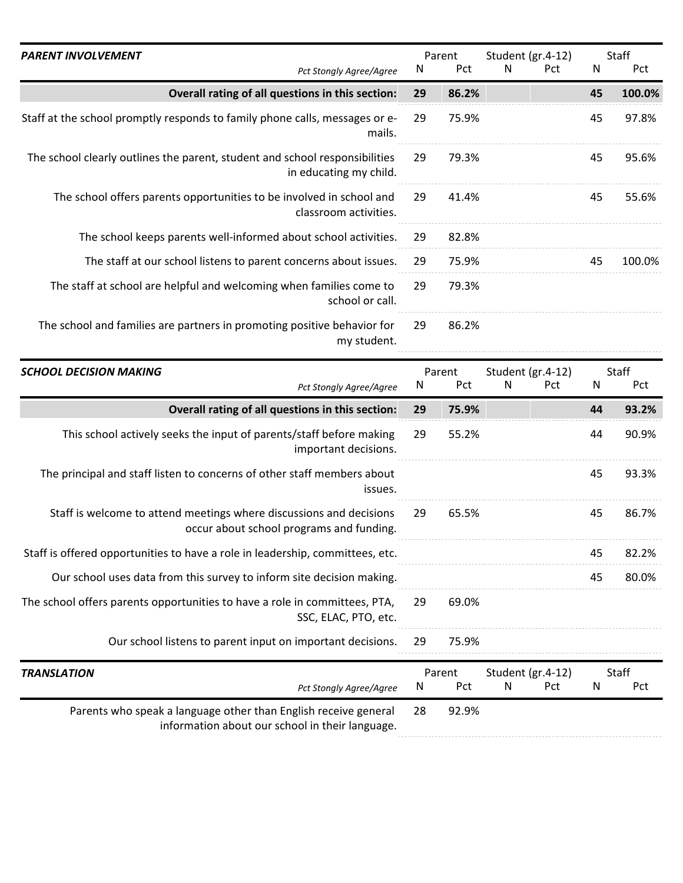| <b>PARENT INVOLVEMENT</b>                                                                             | Parent |       |   |            |    | Student (gr.4-12) |  | Staff |
|-------------------------------------------------------------------------------------------------------|--------|-------|---|------------|----|-------------------|--|-------|
| <b>Pct Stongly Agree/Agree</b>                                                                        | N      | Pct   | N | <b>Pct</b> | N  | Pct               |  |       |
| Overall rating of all questions in this section:                                                      | 29     | 86.2% |   |            | 45 | 100.0%            |  |       |
| Staff at the school promptly responds to family phone calls, messages or e-<br>mails.                 | 29     | 75.9% |   |            | 45 | 97.8%             |  |       |
| The school clearly outlines the parent, student and school responsibilities<br>in educating my child. | 29     | 79.3% |   |            | 45 | 95.6%             |  |       |
| The school offers parents opportunities to be involved in school and<br>classroom activities.         | 29     | 41.4% |   |            | 45 | 55.6%             |  |       |
| The school keeps parents well-informed about school activities.                                       | 29     | 82.8% |   |            |    |                   |  |       |
| The staff at our school listens to parent concerns about issues.                                      | 29     | 75.9% |   |            | 45 | 100.0%            |  |       |
| The staff at school are helpful and welcoming when families come to<br>school or call.                | 29     | 79.3% |   |            |    |                   |  |       |
| The school and families are partners in promoting positive behavior for<br>my student.                | 29     | 86.2% |   |            |    |                   |  |       |

| <b>SCHOOL DECISION MAKING</b>                                                                                      | Parent |            | Student (gr.4-12) |            |    | Staff |                   |  |  |       |
|--------------------------------------------------------------------------------------------------------------------|--------|------------|-------------------|------------|----|-------|-------------------|--|--|-------|
| Pct Stongly Agree/Agree                                                                                            | N      | <b>Pct</b> | N                 | <b>Pct</b> | N  | Pct   |                   |  |  |       |
| Overall rating of all questions in this section:                                                                   | 29     | 75.9%      |                   |            | 44 | 93.2% |                   |  |  |       |
| This school actively seeks the input of parents/staff before making<br>important decisions.                        | 29     | 55.2%      |                   |            | 44 | 90.9% |                   |  |  |       |
| The principal and staff listen to concerns of other staff members about<br>issues.                                 |        |            |                   |            | 45 | 93.3% |                   |  |  |       |
| Staff is welcome to attend meetings where discussions and decisions<br>occur about school programs and funding.    | 29     | 65.5%      |                   |            | 45 | 86.7% |                   |  |  |       |
| Staff is offered opportunities to have a role in leadership, committees, etc.                                      |        |            |                   |            | 45 | 82.2% |                   |  |  |       |
| Our school uses data from this survey to inform site decision making.                                              |        |            |                   |            | 45 | 80.0% |                   |  |  |       |
| The school offers parents opportunities to have a role in committees, PTA,<br>SSC, ELAC, PTO, etc.                 |        | 69.0%      |                   |            |    |       |                   |  |  |       |
| Our school listens to parent input on important decisions.                                                         | 29     | 75.9%      |                   |            |    |       |                   |  |  |       |
| <b>TRANSLATION</b>                                                                                                 | Parent |            |                   |            |    |       | Student (gr.4-12) |  |  | Staff |
| Pct Stongly Agree/Agree                                                                                            | N      | Pct        | N                 | Pct        | N  | Pct   |                   |  |  |       |
| Parents who speak a language other than English receive general<br>information about our school in their language. | 28     | 92.9%      |                   |            |    |       |                   |  |  |       |